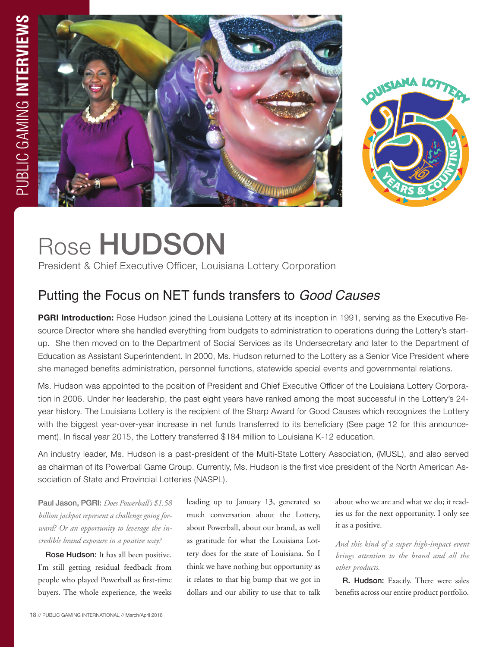



# Rose HUDSON

President & Chief Executive Officer, Louisiana Lottery Corporation

# Putting the Focus on NET funds transfers to *Good Causes*

**PGRI Introduction:** Rose Hudson joined the Louisiana Lottery at its inception in 1991, serving as the Executive Resource Director where she handled everything from budgets to administration to operations during the Lottery's startup. She then moved on to the Department of Social Services as its Undersecretary and later to the Department of Education as Assistant Superintendent. In 2000, Ms. Hudson returned to the Lottery as a Senior Vice President where she managed benefits administration, personnel functions, statewide special events and governmental relations.

Ms. Hudson was appointed to the position of President and Chief Executive Officer of the Louisiana Lottery Corporation in 2006. Under her leadership, the past eight years have ranked among the most successful in the Lottery's 24 year history. The Louisiana Lottery is the recipient of the Sharp Award for Good Causes which recognizes the Lottery with the biggest year-over-year increase in net funds transferred to its beneficiary (See page 12 for this announcement). In fiscal year 2015, the Lottery transferred \$184 million to Louisiana K-12 education.

An industry leader, Ms. Hudson is a past-president of the Multi-State Lottery Association, (MUSL), and also served as chairman of its Powerball Game Group. Currently, Ms. Hudson is the first vice president of the North American Association of State and Provincial Lotteries (NASPL).

Paul Jason, PGRI: *Does Powerball's \$1.58 billion jackpot represent a challenge going forward? Or an opportunity to leverage the incredible brand exposure in a positive way?*

Rose Hudson: It has all been positive. I'm still getting residual feedback from people who played Powerball as first-time buyers. The whole experience, the weeks leading up to January 13, generated so much conversation about the Lottery, about Powerball, about our brand, as well as gratitude for what the Louisiana Lottery does for the state of Louisiana. So I think we have nothing but opportunity as it relates to that big bump that we got in dollars and our ability to use that to talk

about who we are and what we do; it readies us for the next opportunity. I only see it as a positive.

*And this kind of a super high-impact event brings attention to the brand and all the other products.* 

R. Hudson: Exactly. There were sales benefits across our entire product portfolio.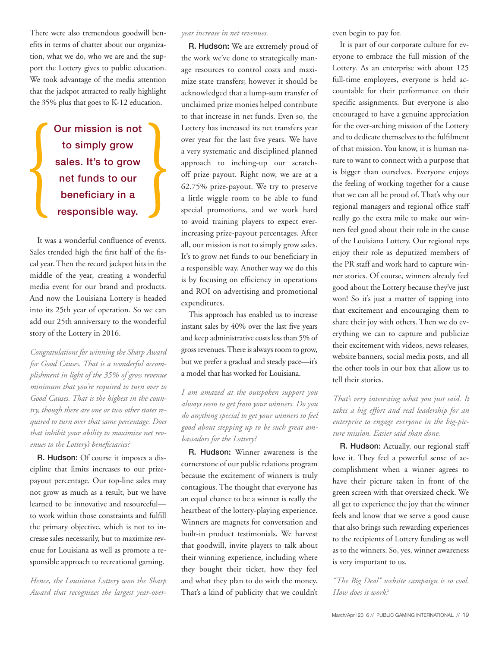There were also tremendous goodwill benefits in terms of chatter about our organization, what we do, who we are and the support the Lottery gives to public education. We took advantage of the media attention that the jackpot attracted to really highlight the 35% plus that goes to K-12 education.

> Our mission is not to simply grow sales. It's to grow net funds to our beneficiary in a responsible way.

It was a wonderful confluence of events. Sales trended high the first half of the fiscal year. Then the record jackpot hits in the middle of the year, creating a wonderful media event for our brand and products. And now the Louisiana Lottery is headed into its 25th year of operation. So we can add our 25th anniversary to the wonderful story of the Lottery in 2016.

*Congratulations for winning the Sharp Award for Good Causes. That is a wonderful accomplishment in light of the 35% of gross revenue minimum that you're required to turn over to Good Causes. That is the highest in the country, though there are one or two other states required to turn over that same percentage. Does that inhibit your ability to maximize net revenues to the Lottery's beneficiaries?*

R. Hudson: Of course it imposes a discipline that limits increases to our prizepayout percentage. Our top-line sales may not grow as much as a result, but we have learned to be innovative and resourceful to work within those constraints and fulfill the primary objective, which is not to increase sales necessarily, but to maximize revenue for Louisiana as well as promote a responsible approach to recreational gaming.

*Hence, the Louisiana Lottery won the Sharp Award that recognizes the largest year-over-*

#### *year increase in net revenues.*

R. Hudson: We are extremely proud of the work we've done to strategically manage resources to control costs and maximize state transfers; however it should be acknowledged that a lump-sum transfer of unclaimed prize monies helped contribute to that increase in net funds. Even so, the Lottery has increased its net transfers year over year for the last five years. We have a very systematic and disciplined planned approach to inching-up our scratchoff prize payout. Right now, we are at a 62.75% prize-payout. We try to preserve a little wiggle room to be able to fund special promotions, and we work hard to avoid training players to expect everincreasing prize-payout percentages. After all, our mission is not to simply grow sales. It's to grow net funds to our beneficiary in a responsible way. Another way we do this is by focusing on efficiency in operations and ROI on advertising and promotional expenditures.

This approach has enabled us to increase instant sales by 40% over the last five years and keep administrative costs less than 5% of gross revenues. There is always room to grow, but we prefer a gradual and steady pace—it's a model that has worked for Louisiana.

*I am amazed at the outspoken support you always seem to get from your winners. Do you do anything special to get your winners to feel good about stepping up to be such great ambassadors for the Lottery?* 

R. Hudson: Winner awareness is the cornerstone of our public relations program because the excitement of winners is truly contagious. The thought that everyone has an equal chance to be a winner is really the heartbeat of the lottery-playing experience. Winners are magnets for conversation and built-in product testimonials. We harvest that goodwill, invite players to talk about their winning experience, including where they bought their ticket, how they feel and what they plan to do with the money. That's a kind of publicity that we couldn't even begin to pay for.

It is part of our corporate culture for everyone to embrace the full mission of the Lottery. As an enterprise with about 125 full-time employees, everyone is held accountable for their performance on their specific assignments. But everyone is also encouraged to have a genuine appreciation for the over-arching mission of the Lottery and to dedicate themselves to the fulfilment of that mission. You know, it is human nature to want to connect with a purpose that is bigger than ourselves. Everyone enjoys the feeling of working together for a cause that we can all be proud of. That's why our regional managers and regional office staff really go the extra mile to make our winners feel good about their role in the cause of the Louisiana Lottery. Our regional reps enjoy their role as deputized members of the PR staff and work hard to capture winner stories. Of course, winners already feel good about the Lottery because they've just won! So it's just a matter of tapping into that excitement and encouraging them to share their joy with others. Then we do everything we can to capture and publicize their excitement with videos, news releases, website banners, social media posts, and all the other tools in our box that allow us to tell their stories.

*That's very interesting what you just said. It takes a big effort and real leadership for an enterprise to engage everyone in the big-picture mission. Easier said than done.*

R. Hudson: Actually, our regional staff love it. They feel a powerful sense of accomplishment when a winner agrees to have their picture taken in front of the green screen with that oversized check. We all get to experience the joy that the winner feels and know that we serve a good cause that also brings such rewarding experiences to the recipients of Lottery funding as well as to the winners. So, yes, winner awareness is very important to us.

*"The Big Deal" website campaign is so cool. How does it work?*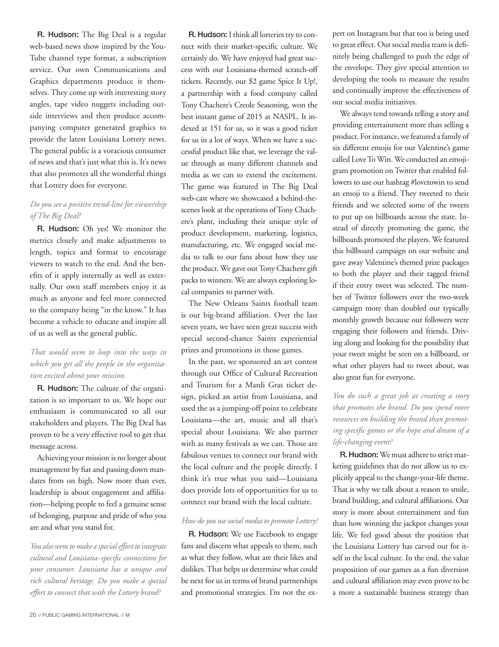R. Hudson: The Big Deal is a regular web-based news show inspired by the You-Tube channel type format, a subscription service. Our own Communications and Graphics departments produce it themselves. They come up with interesting story angles, tape video nuggets including outside interviews and then produce accompanying computer generated graphics to provide the latest Louisiana Lottery news. The general public is a voracious consumer of news and that's just what this is. It's news that also promotes all the wonderful things that Lottery does for everyone.

### *Do you see a positive trend-line for viewership of The Big Deal?*

R. Hudson: Oh yes! We monitor the metrics closely and make adjustments to length, topics and format to encourage viewers to watch to the end. And the benefits of it apply internally as well as externally. Our own staff members enjoy it as much as anyone and feel more connected to the company being "in the know." It has become a vehicle to educate and inspire all of us as well as the general public.

# *That would seem to loop into the ways in which you get all the people in the organization excited about your mission.*

R. Hudson: The culture of the organization is so important to us. We hope our enthusiasm is communicated to all our stakeholders and players. The Big Deal has proven to be a very effective tool to get that message across.

Achieving your mission is no longer about management by fiat and passing down mandates from on high. Now more than ever, leadership is about engagement and affiliation—helping people to feel a genuine sense of belonging, purpose and pride of who you are and what you stand for.

*You also seem to make a special effort to integrate cultural and Louisiana–specific connections for your consumer. Louisiana has a unique and rich cultural heritage. Do you make a special effort to connect that with the Lottery brand?* 

R. Hudson: I think all lotteries try to connect with their market-specific culture. We certainly do. We have enjoyed had great success with our Louisiana-themed scratch-off tickets. Recently, our \$2 game Spice It Up!, a partnership with a food company called Tony Chachere's Creole Seasoning, won the best instant game of 2015 at NASPL. It indexed at 151 for us, so it was a good ticket for us in a lot of ways. When we have a successful product like that, we leverage the value through as many different channels and media as we can to extend the excitement. The game was featured in The Big Deal web-cast where we showcased a behind-thescenes look at the operations of Tony Chachere's plant, including their unique style of product development, marketing, logistics, manufacturing, etc. We engaged social media to talk to our fans about how they use the product. We gave out Tony Chachere gift packs to winners. We are always exploring local companies to partner with.

The New Orleans Saints football team is our big-brand affiliation. Over the last seven years, we have seen great success with special second-chance Saints experiential prizes and promotions in those games.

In the past, we sponsored an art contest through our Office of Cultural Recreation and Tourism for a Mardi Gras ticket design, picked an artist from Louisiana, and used the as a jumping-off point to celebrate Louisiana—the art, music and all that's special about Louisiana. We also partner with as many festivals as we can. Those are fabulous venues to connect our brand with the local culture and the people directly. I think it's true what you said—Louisiana does provide lots of opportunities for us to connect our brand with the local culture.

#### *How do you use social media to promote Lottery?*

R. Hudson: We use Facebook to engage fans and discern what appeals to them, such as what they follow, what are their likes and dislikes. That helps us determine what could be next for us in terms of brand partnerships and promotional strategies. I'm not the expert on Instagram but that too is being used to great effect. Our social media team is definitely being challenged to push the edge of the envelope. They give special attention to developing the tools to measure the results and continually improve the effectiveness of our social media initiatives.

We always tend towards telling a story and providing entertainment more than selling a product. For instance, we featured a family of six different emojis for our Valentine's game called Love To Win. We conducted an emojigram promotion on Twitter that enabled followers to use our hashtag #lovetowin to send an emoji to a friend. They tweeted to their friends and we selected some of the tweets to put up on billboards across the state. Instead of directly promoting the game, the billboards promoted the players. We featured this billboard campaign on our website and gave away Valentine's themed prize packages to both the player and their tagged friend if their entry tweet was selected. The number of Twitter followers over the two-week campaign more than doubled our typically monthly growth because our followers were engaging their followers and friends. Driving along and looking for the possibility that your tweet might be seen on a billboard, or what other players had to tweet about, was also great fun for everyone.

*You do such a great job at creating a story that promotes the brand. Do you spend more resources on building the brand than promoting specific games or the hope and dream of a life-changing event?* 

R. Hudson:We must adhere to strict marketing guidelines that do not allow us to explicitly appeal to the change-your-life theme. That is why we talk about a reason to smile, brand building, and cultural affiliations. Our story is more about entertainment and fun than how winning the jackpot changes your life. We feel good about the position that the Louisiana Lottery has carved out for itself in the local culture. In the end, the value proposition of our games as a fun diversion and cultural affiliation may even prove to be a more a sustainable business strategy than